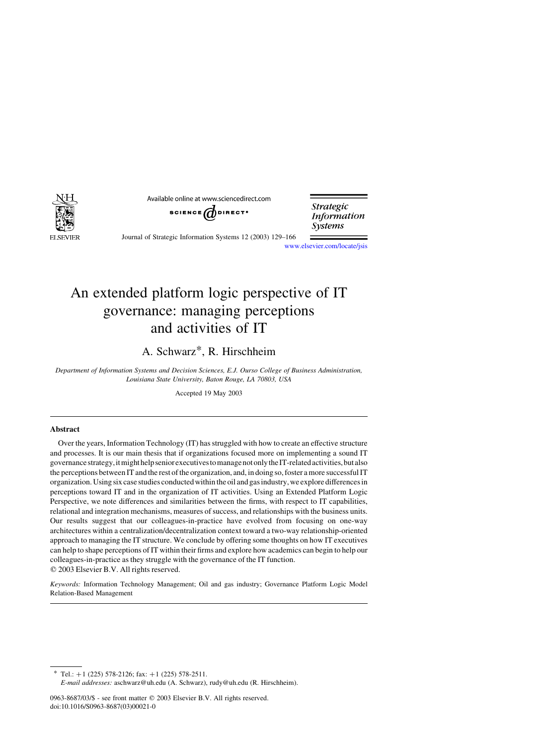

Available online at www.sciencedirect.com

SCIENCE WDIRECT<sup>.</sup>

**Strategic Information Systems** 

Journal of Strategic Information Systems 12 (2003) 129–166

[www.elsevier.com/locate/jsis](http://www.elsevier.com/locate/jsis)

## An extended platform logic perspective of IT governance: managing perceptions and activities of IT

A. Schwarz\*, R. Hirschheim

Department of Information Systems and Decision Sciences, E.J. Ourso College of Business Administration, Louisiana State University, Baton Rouge, LA 70803, USA

Accepted 19 May 2003

### Abstract

Over the years, Information Technology (IT) has struggled with how to create an effective structure and processes. It is our main thesis that if organizations focused more on implementing a sound IT governance strategy, it might help senior executives to manage not only the IT-related activities, but also the perceptions between IT and the rest of the organization, and, in doing so, foster a more successful IT organization. Using six case studies conducted within the oil and gas industry, we explore differences in perceptions toward IT and in the organization of IT activities. Using an Extended Platform Logic Perspective, we note differences and similarities between the firms, with respect to IT capabilities, relational and integration mechanisms, measures of success, and relationships with the business units. Our results suggest that our colleagues-in-practice have evolved from focusing on one-way architectures within a centralization/decentralization context toward a two-way relationship-oriented approach to managing the IT structure. We conclude by offering some thoughts on how IT executives can help to shape perceptions of IT within their firms and explore how academics can begin to help our colleagues-in-practice as they struggle with the governance of the IT function.  $Q$  2003 Elsevier B.V. All rights reserved.

Keywords: Information Technology Management; Oil and gas industry; Governance Platform Logic Model Relation-Based Management

 $*$  Tel.: +1 (225) 578-2126; fax: +1 (225) 578-2511.

E-mail addresses: aschwarz@uh.edu (A. Schwarz), rudy@uh.edu (R. Hirschheim).

<sup>0963-8687/03/\$ -</sup> see front matter © 2003 Elsevier B.V. All rights reserved. doi:10.1016/S0963-8687(03)00021-0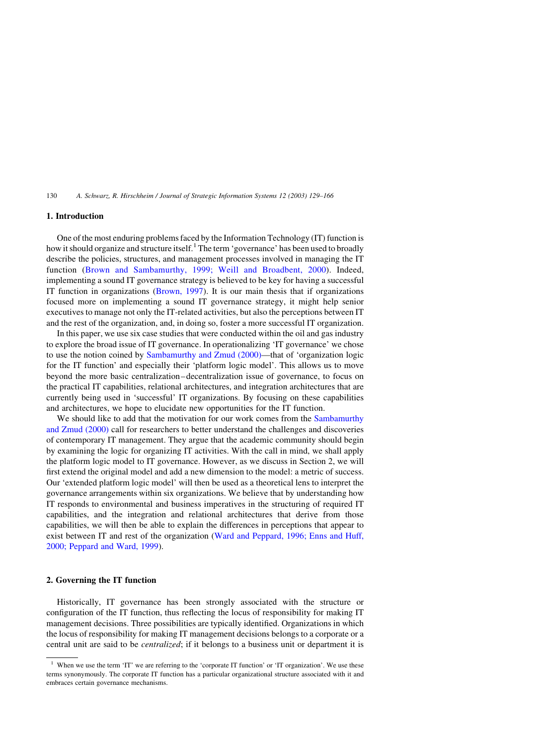130 A. Schwarz, R. Hirschheim / Journal of Strategic Information Systems 12 (2003) 129–166

## 1. Introduction

One of the most enduring problems faced by the Information Technology (IT) function is how it should organize and structure itself.<sup>1</sup> The term 'governance' has been used to broadly describe the policies, structures, and management processes involved in managing the IT function [\(Brown and Sambamurthy, 1999; Weill and Broadbent, 2000](#page--1-0)). Indeed, implementing a sound IT governance strategy is believed to be key for having a successful IT function in organizations [\(Brown, 1997\)](#page--1-0). It is our main thesis that if organizations focused more on implementing a sound IT governance strategy, it might help senior executives to manage not only the IT-related activities, but also the perceptions between IT and the rest of the organization, and, in doing so, foster a more successful IT organization.

In this paper, we use six case studies that were conducted within the oil and gas industry to explore the broad issue of IT governance. In operationalizing 'IT governance' we chose to use the notion coined by [Sambamurthy and Zmud \(2000\)](#page--1-0)—that of 'organization logic for the IT function' and especially their 'platform logic model'. This allows us to move beyond the more basic centralization–decentralization issue of governance, to focus on the practical IT capabilities, relational architectures, and integration architectures that are currently being used in 'successful' IT organizations. By focusing on these capabilities and architectures, we hope to elucidate new opportunities for the IT function.

We should like to add that the motivation for our work comes from the [Sambamurthy](#page--1-0) [and Zmud \(2000\)](#page--1-0) call for researchers to better understand the challenges and discoveries of contemporary IT management. They argue that the academic community should begin by examining the logic for organizing IT activities. With the call in mind, we shall apply the platform logic model to IT governance. However, as we discuss in Section 2, we will first extend the original model and add a new dimension to the model: a metric of success. Our 'extended platform logic model' will then be used as a theoretical lens to interpret the governance arrangements within six organizations. We believe that by understanding how IT responds to environmental and business imperatives in the structuring of required IT capabilities, and the integration and relational architectures that derive from those capabilities, we will then be able to explain the differences in perceptions that appear to exist between IT and rest of the organization [\(Ward and Peppard, 1996; Enns and Huff,](#page--1-0) [2000; Peppard and Ward, 1999](#page--1-0)).

### 2. Governing the IT function

Historically, IT governance has been strongly associated with the structure or configuration of the IT function, thus reflecting the locus of responsibility for making IT management decisions. Three possibilities are typically identified. Organizations in which the locus of responsibility for making IT management decisions belongs to a corporate or a central unit are said to be centralized; if it belongs to a business unit or department it is

When we use the term 'IT' we are referring to the 'corporate IT function' or 'IT organization'. We use these terms synonymously. The corporate IT function has a particular organizational structure associated with it and embraces certain governance mechanisms.